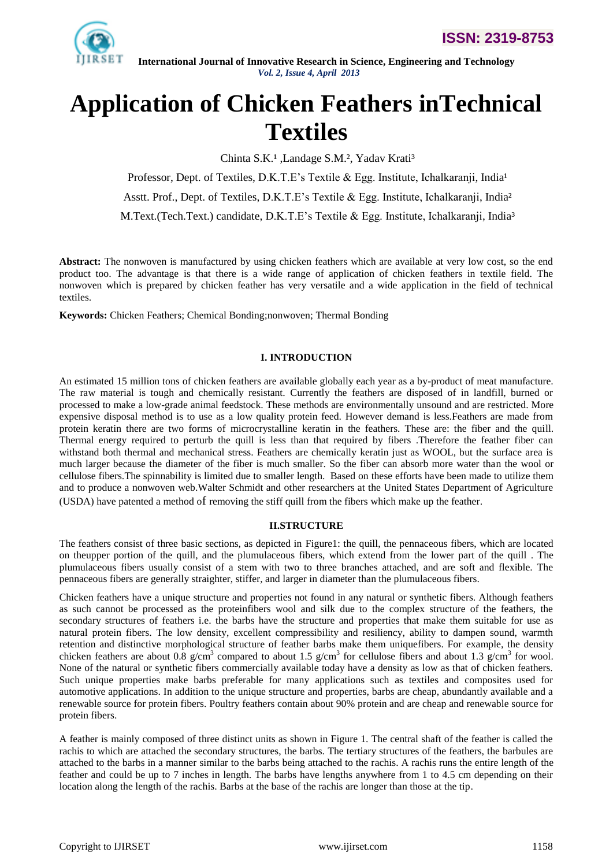

# **Application of Chicken Feathers inTechnical Textiles**

Chinta S.K.<sup>1</sup>, Landage S.M.<sup>2</sup>, Yadav Krati<sup>3</sup>

Professor, Dept. of Textiles, D.K.T.E's Textile & Egg. Institute, Ichalkaranji, India<sup>1</sup>

Asstt. Prof., Dept. of Textiles, D.K.T.E"s Textile & Egg. Institute, Ichalkaranji, India²

M.Text.(Tech.Text.) candidate, D.K.T.E's Textile & Egg. Institute, Ichalkaranji, India<sup>3</sup>

**Abstract:** The nonwoven is manufactured by using chicken feathers which are available at very low cost, so the end product too. The advantage is that there is a wide range of application of chicken feathers in textile field. The nonwoven which is prepared by chicken feather has very versatile and a wide application in the field of technical textiles.

**Keywords:** Chicken Feathers; Chemical Bonding;nonwoven; Thermal Bonding

# **I. INTRODUCTION**

An estimated 15 million tons of chicken feathers are available globally each year as a by-product of meat manufacture. The raw material is tough and chemically resistant. Currently the feathers are disposed of in landfill, burned or processed to make a low-grade animal feedstock. These methods are environmentally unsound and are restricted. More expensive disposal method is to use as a low quality protein feed. However demand is less.Feathers are made from protein keratin there are two forms of microcrystalline keratin in the feathers. These are: the fiber and the quill. Thermal energy required to perturb the quill is less than that required by fibers .Therefore the feather fiber can withstand both thermal and mechanical stress. Feathers are chemically keratin just as WOOL, but the surface area is much larger because the diameter of the fiber is much smaller. So the fiber can absorb more water than the wool or cellulose fibers.The spinnability is limited due to smaller length. Based on these efforts have been made to utilize them and to produce a nonwoven web.Walter Schmidt and other researchers at the United States Department of Agriculture (USDA) have patented a method of removing the stiff quill from the fibers which make up the feather.

## **II.STRUCTURE**

The feathers consist of three basic sections, as depicted in Figure1: the quill, the pennaceous fibers, which are located on theupper portion of the quill, and the plumulaceous fibers, which extend from the lower part of the quill . The plumulaceous fibers usually consist of a stem with two to three branches attached, and are soft and flexible. The pennaceous fibers are generally straighter, stiffer, and larger in diameter than the plumulaceous fibers.

Chicken feathers have a unique structure and properties not found in any natural or synthetic fibers. Although feathers as such cannot be processed as the proteinfibers wool and silk due to the complex structure of the feathers, the secondary structures of feathers i.e. the barbs have the structure and properties that make them suitable for use as natural protein fibers. The low density, excellent compressibility and resiliency, ability to dampen sound, warmth retention and distinctive morphological structure of feather barbs make them uniquefibers. For example, the density chicken feathers are about 0.8  $g/cm<sup>3</sup>$  compared to about 1.5  $g/cm<sup>3</sup>$  for cellulose fibers and about 1.3  $g/cm<sup>3</sup>$  for wool. None of the natural or synthetic fibers commercially available today have a density as low as that of chicken feathers. Such unique properties make barbs preferable for many applications such as textiles and composites used for automotive applications. In addition to the unique structure and properties, barbs are cheap, abundantly available and a renewable source for protein fibers. Poultry feathers contain about 90% protein and are cheap and renewable source for protein fibers.

A feather is mainly composed of three distinct units as shown in Figure 1. The central shaft of the feather is called the rachis to which are attached the secondary structures, the barbs. The tertiary structures of the feathers, the barbules are attached to the barbs in a manner similar to the barbs being attached to the rachis. A rachis runs the entire length of the feather and could be up to 7 inches in length. The barbs have lengths anywhere from 1 to 4.5 cm depending on their location along the length of the rachis. Barbs at the base of the rachis are longer than those at the tip.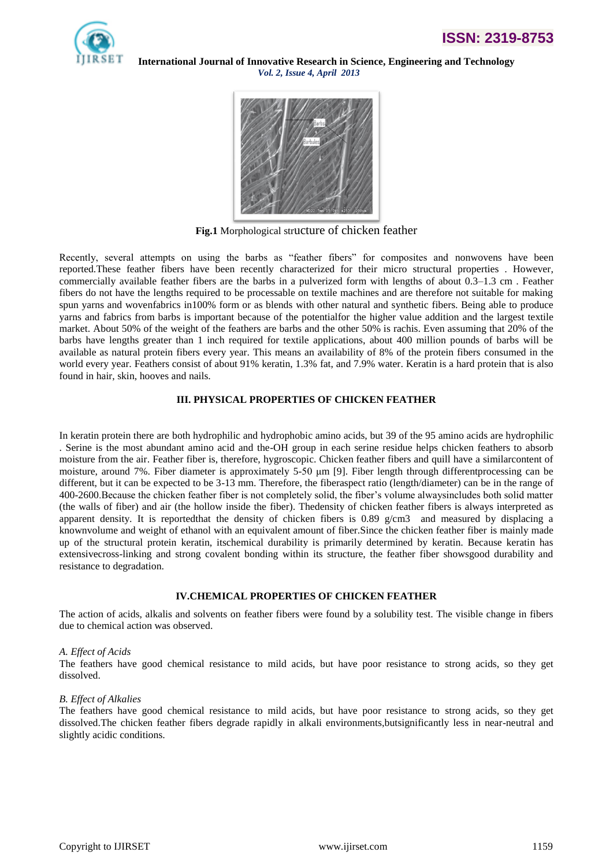



**Fig.1** Morphological structure of chicken feather

Recently, several attempts on using the barbs as "feather fibers" for composites and nonwovens have been reported.These feather fibers have been recently characterized for their micro structural properties . However, commercially available feather fibers are the barbs in a pulverized form with lengths of about 0.3–1.3 cm . Feather fibers do not have the lengths required to be processable on textile machines and are therefore not suitable for making spun yarns and wovenfabrics in100% form or as blends with other natural and synthetic fibers. Being able to produce yarns and fabrics from barbs is important because of the potentialfor the higher value addition and the largest textile market. About 50% of the weight of the feathers are barbs and the other 50% is rachis. Even assuming that 20% of the barbs have lengths greater than 1 inch required for textile applications, about 400 million pounds of barbs will be available as natural protein fibers every year. This means an availability of 8% of the protein fibers consumed in the world every year. Feathers consist of about 91% keratin, 1.3% fat, and 7.9% water. Keratin is a hard protein that is also found in hair, skin, hooves and nails.

# **III. PHYSICAL PROPERTIES OF CHICKEN FEATHER**

In keratin protein there are both hydrophilic and hydrophobic amino acids, but 39 of the 95 amino acids are hydrophilic . Serine is the most abundant amino acid and the-OH group in each serine residue helps chicken feathers to absorb moisture from the air. Feather fiber is, therefore, hygroscopic. Chicken feather fibers and quill have a similarcontent of moisture, around 7%. Fiber diameter is approximately 5-50 μm [9]. Fiber length through differentprocessing can be different, but it can be expected to be 3-13 mm. Therefore, the fiberaspect ratio (length/diameter) can be in the range of 400-2600.Because the chicken feather fiber is not completely solid, the fiber"s volume alwaysincludes both solid matter (the walls of fiber) and air (the hollow inside the fiber). Thedensity of chicken feather fibers is always interpreted as apparent density. It is reported that the density of chicken fibers is 0.89  $g/cm3$  and measured by displacing a knownvolume and weight of ethanol with an equivalent amount of fiber.Since the chicken feather fiber is mainly made up of the structural protein keratin, itschemical durability is primarily determined by keratin. Because keratin has extensivecross-linking and strong covalent bonding within its structure, the feather fiber showsgood durability and resistance to degradation.

## **IV.CHEMICAL PROPERTIES OF CHICKEN FEATHER**

The action of acids, alkalis and solvents on feather fibers were found by a solubility test. The visible change in fibers due to chemical action was observed.

## *A. Effect of Acids*

The feathers have good chemical resistance to mild acids, but have poor resistance to strong acids, so they get dissolved.

#### *B. Effect of Alkalies*

The feathers have good chemical resistance to mild acids, but have poor resistance to strong acids, so they get dissolved.The chicken feather fibers degrade rapidly in alkali environments,butsignificantly less in near-neutral and slightly acidic conditions.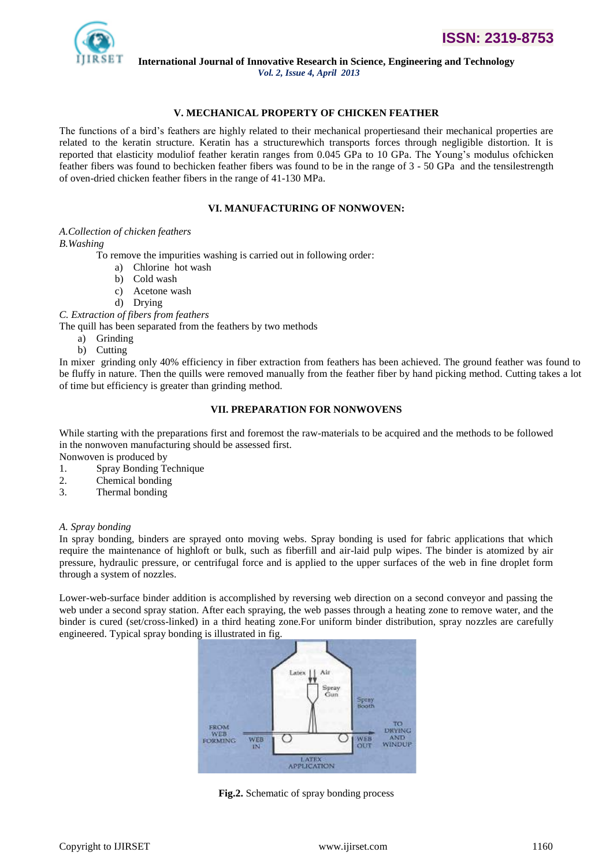

**International Journal of Innovative Research in Science, Engineering and Technology**

*Vol. 2, Issue 4, April 2013*

# **V. MECHANICAL PROPERTY OF CHICKEN FEATHER**

The functions of a bird"s feathers are highly related to their mechanical propertiesand their mechanical properties are related to the keratin structure. Keratin has a structurewhich transports forces through negligible distortion. It is reported that elasticity moduliof feather keratin ranges from 0.045 GPa to 10 GPa. The Young"s modulus ofchicken feather fibers was found to bechicken feather fibers was found to be in the range of 3 - 50 GPa and the tensilestrength of oven-dried chicken feather fibers in the range of 41-130 MPa.

# **VI. MANUFACTURING OF NONWOVEN:**

#### *A.Collection of chicken feathers*

## *B.Washing*

To remove the impurities washing is carried out in following order:

- a) Chlorine hot wash
- b) Cold wash
- c) Acetone wash
- d) Drying

*C. Extraction of fibers from feathers*

The quill has been separated from the feathers by two methods

- a) Grinding
- b) Cutting

In mixer grinding only 40% efficiency in fiber extraction from feathers has been achieved. The ground feather was found to be fluffy in nature. Then the quills were removed manually from the feather fiber by hand picking method. Cutting takes a lot of time but efficiency is greater than grinding method.

#### **VII. PREPARATION FOR NONWOVENS**

While starting with the preparations first and foremost the raw-materials to be acquired and the methods to be followed in the nonwoven manufacturing should be assessed first.

Nonwoven is produced by

- 1. Spray Bonding Technique
- 2. Chemical bonding
- 3. Thermal bonding

## *A. Spray bonding*

In spray bonding, binders are sprayed onto moving webs. Spray bonding is used for fabric applications that which require the maintenance of highloft or bulk, such as fiberfill and air-laid pulp wipes. The binder is atomized by air pressure, hydraulic pressure, or centrifugal force and is applied to the upper surfaces of the web in fine droplet form through a system of nozzles.

Lower-web-surface binder addition is accomplished by reversing web direction on a second conveyor and passing the web under a second spray station. After each spraying, the web passes through a heating zone to remove water, and the binder is cured (set/cross-linked) in a third heating zone.For uniform binder distribution, spray nozzles are carefully engineered. Typical spray bonding is illustrated in fig.



**Fig.2.** Schematic of spray bonding process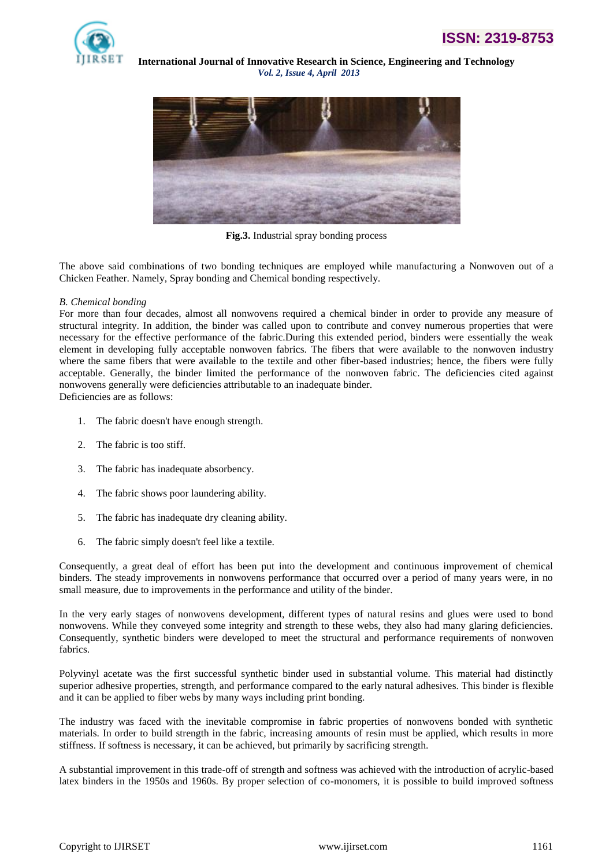



**Fig.3.** Industrial spray bonding process

The above said combinations of two bonding techniques are employed while manufacturing a Nonwoven out of a Chicken Feather. Namely, Spray bonding and Chemical bonding respectively.

## *B. Chemical bonding*

For more than four decades, almost all nonwovens required a chemical binder in order to provide any measure of structural integrity. In addition, the binder was called upon to contribute and convey numerous properties that were necessary for the effective performance of the fabric.During this extended period, binders were essentially the weak element in developing fully acceptable nonwoven fabrics. The fibers that were available to the nonwoven industry where the same fibers that were available to the textile and other fiber-based industries; hence, the fibers were fully acceptable. Generally, the binder limited the performance of the nonwoven fabric. The deficiencies cited against nonwovens generally were deficiencies attributable to an inadequate binder. Deficiencies are as follows:

1. The fabric doesn't have enough strength.

- 2. The fabric is too stiff.
- 3. The fabric has inadequate absorbency.
- 4. The fabric shows poor laundering ability.
- 5. The fabric has inadequate dry cleaning ability.
- 6. The fabric simply doesn't feel like a textile.

Consequently, a great deal of effort has been put into the development and continuous improvement of chemical binders. The steady improvements in nonwovens performance that occurred over a period of many years were, in no small measure, due to improvements in the performance and utility of the binder.

In the very early stages of nonwovens development, different types of natural resins and glues were used to bond nonwovens. While they conveyed some integrity and strength to these webs, they also had many glaring deficiencies. Consequently, synthetic binders were developed to meet the structural and performance requirements of nonwoven fabrics.

Polyvinyl acetate was the first successful synthetic binder used in substantial volume. This material had distinctly superior adhesive properties, strength, and performance compared to the early natural adhesives. This binder is flexible and it can be applied to fiber webs by many ways including print bonding.

The industry was faced with the inevitable compromise in fabric properties of nonwovens bonded with synthetic materials. In order to build strength in the fabric, increasing amounts of resin must be applied, which results in more stiffness. If softness is necessary, it can be achieved, but primarily by sacrificing strength.

A substantial improvement in this trade-off of strength and softness was achieved with the introduction of acrylic-based latex binders in the 1950s and 1960s. By proper selection of co-monomers, it is possible to build improved softness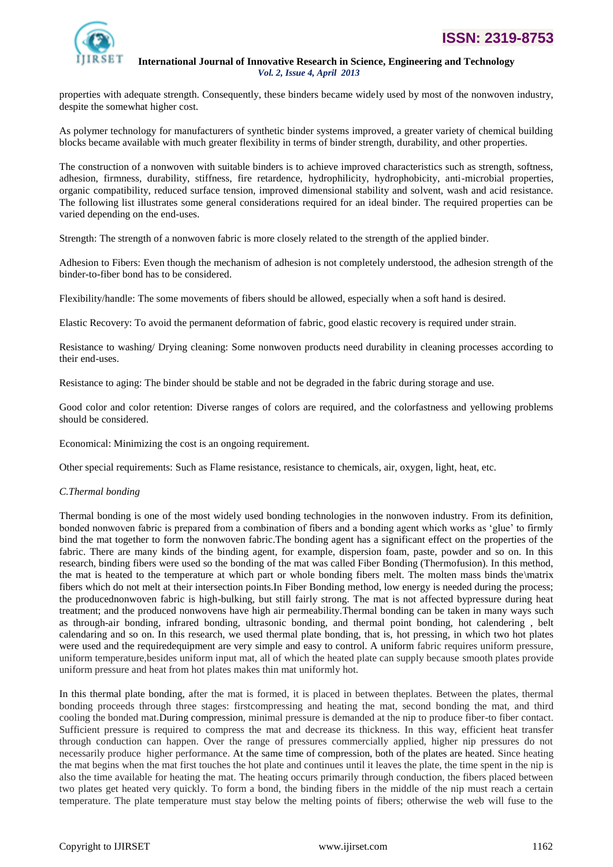

properties with adequate strength. Consequently, these binders became widely used by most of the nonwoven industry, despite the somewhat higher cost.

As polymer technology for manufacturers of synthetic binder systems improved, a greater variety of chemical building blocks became available with much greater flexibility in terms of binder strength, durability, and other properties.

The construction of a nonwoven with suitable binders is to achieve improved characteristics such as strength, softness, adhesion, firmness, durability, stiffness, fire retardence, hydrophilicity, hydrophobicity, anti-microbial properties, organic compatibility, reduced surface tension, improved dimensional stability and solvent, wash and acid resistance. The following list illustrates some general considerations required for an ideal binder. The required properties can be varied depending on the end-uses.

Strength: The strength of a nonwoven fabric is more closely related to the strength of the applied binder.

Adhesion to Fibers: Even though the mechanism of adhesion is not completely understood, the adhesion strength of the binder-to-fiber bond has to be considered.

Flexibility/handle: The some movements of fibers should be allowed, especially when a soft hand is desired.

Elastic Recovery: To avoid the permanent deformation of fabric, good elastic recovery is required under strain.

Resistance to washing/ Drying cleaning: Some nonwoven products need durability in cleaning processes according to their end-uses.

Resistance to aging: The binder should be stable and not be degraded in the fabric during storage and use.

Good color and color retention: Diverse ranges of colors are required, and the colorfastness and yellowing problems should be considered.

Economical: Minimizing the cost is an ongoing requirement.

Other special requirements: Such as Flame resistance, resistance to chemicals, air, oxygen, light, heat, etc.

#### *C.Thermal bonding*

Thermal bonding is one of the most widely used bonding technologies in the nonwoven industry. From its definition, bonded nonwoven fabric is prepared from a combination of fibers and a bonding agent which works as "glue" to firmly bind the mat together to form the nonwoven fabric.The bonding agent has a significant effect on the properties of the fabric. There are many kinds of the binding agent, for example, dispersion foam, paste, powder and so on. In this research, binding fibers were used so the bonding of the mat was called Fiber Bonding (Thermofusion). In this method, the mat is heated to the temperature at which part or whole bonding fibers melt. The molten mass binds the\matrix fibers which do not melt at their intersection points.In Fiber Bonding method, low energy is needed during the process; the producednonwoven fabric is high-bulking, but still fairly strong. The mat is not affected bypressure during heat treatment; and the produced nonwovens have high air permeability.Thermal bonding can be taken in many ways such as through-air bonding, infrared bonding, ultrasonic bonding, and thermal point bonding, hot calendering , belt calendaring and so on. In this research, we used thermal plate bonding, that is, hot pressing, in which two hot plates were used and the requiredequipment are very simple and easy to control. A uniform fabric requires uniform pressure, uniform temperature,besides uniform input mat, all of which the heated plate can supply because smooth plates provide uniform pressure and heat from hot plates makes thin mat uniformly hot.

In this thermal plate bonding, after the mat is formed, it is placed in between theplates. Between the plates, thermal bonding proceeds through three stages: firstcompressing and heating the mat, second bonding the mat, and third cooling the bonded mat.During compression, minimal pressure is demanded at the nip to produce fiber-to fiber contact. Sufficient pressure is required to compress the mat and decrease its thickness. In this way, efficient heat transfer through conduction can happen. Over the range of pressures commercially applied, higher nip pressures do not necessarily produce higher performance. At the same time of compression, both of the plates are heated. Since heating the mat begins when the mat first touches the hot plate and continues until it leaves the plate, the time spent in the nip is also the time available for heating the mat. The heating occurs primarily through conduction, the fibers placed between two plates get heated very quickly. To form a bond, the binding fibers in the middle of the nip must reach a certain temperature. The plate temperature must stay below the melting points of fibers; otherwise the web will fuse to the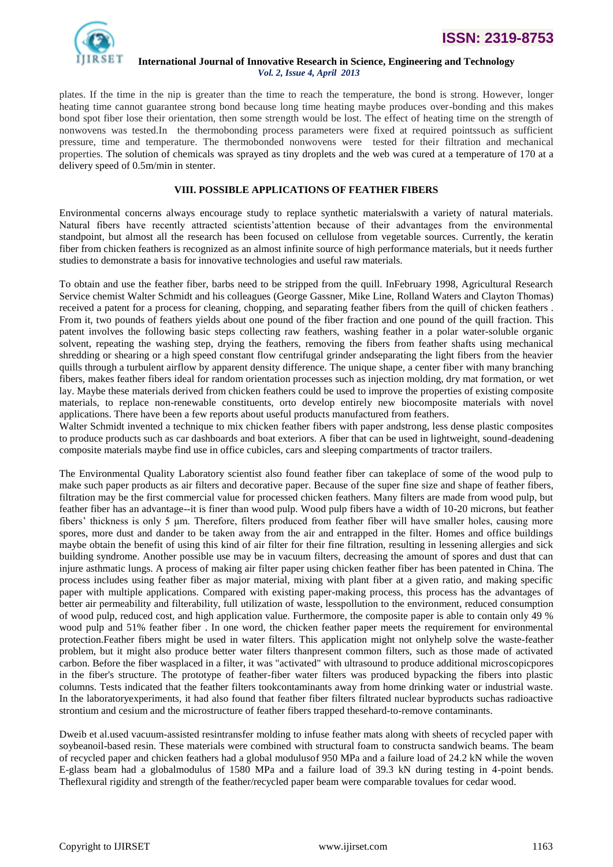

plates. If the time in the nip is greater than the time to reach the temperature, the bond is strong. However, longer heating time cannot guarantee strong bond because long time heating maybe produces over-bonding and this makes bond spot fiber lose their orientation, then some strength would be lost. The effect of heating time on the strength of nonwovens was tested.In the thermobonding process parameters were fixed at required pointssuch as sufficient pressure, time and temperature. The thermobonded nonwovens were tested for their filtration and mechanical properties. The solution of chemicals was sprayed as tiny droplets and the web was cured at a temperature of 170 at a delivery speed of 0.5m/min in stenter.

# **VIII. POSSIBLE APPLICATIONS OF FEATHER FIBERS**

Environmental concerns always encourage study to replace synthetic materialswith a variety of natural materials. Natural fibers have recently attracted scientists"attention because of their advantages from the environmental standpoint, but almost all the research has been focused on cellulose from vegetable sources. Currently, the keratin fiber from chicken feathers is recognized as an almost infinite source of high performance materials, but it needs further studies to demonstrate a basis for innovative technologies and useful raw materials.

To obtain and use the feather fiber, barbs need to be stripped from the quill. InFebruary 1998, Agricultural Research Service chemist Walter Schmidt and his colleagues (George Gassner, Mike Line, Rolland Waters and Clayton Thomas) received a patent for a process for cleaning, chopping, and separating feather fibers from the quill of chicken feathers . From it, two pounds of feathers yields about one pound of the fiber fraction and one pound of the quill fraction. This patent involves the following basic steps collecting raw feathers, washing feather in a polar water-soluble organic solvent, repeating the washing step, drying the feathers, removing the fibers from feather shafts using mechanical shredding or shearing or a high speed constant flow centrifugal grinder andseparating the light fibers from the heavier quills through a turbulent airflow by apparent density difference. The unique shape, a center fiber with many branching fibers, makes feather fibers ideal for random orientation processes such as injection molding, dry mat formation, or wet lay. Maybe these materials derived from chicken feathers could be used to improve the properties of existing composite materials, to replace non-renewable constituents, orto develop entirely new biocomposite materials with novel applications. There have been a few reports about useful products manufactured from feathers.

Walter Schmidt invented a technique to mix chicken feather fibers with paper andstrong, less dense plastic composites to produce products such as car dashboards and boat exteriors. A fiber that can be used in lightweight, sound-deadening composite materials maybe find use in office cubicles, cars and sleeping compartments of tractor trailers.

The Environmental Quality Laboratory scientist also found feather fiber can takeplace of some of the wood pulp to make such paper products as air filters and decorative paper. Because of the super fine size and shape of feather fibers, filtration may be the first commercial value for processed chicken feathers. Many filters are made from wood pulp, but feather fiber has an advantage--it is finer than wood pulp. Wood pulp fibers have a width of 10-20 microns, but feather fibers" thickness is only 5 μm. Therefore, filters produced from feather fiber will have smaller holes, causing more spores, more dust and dander to be taken away from the air and entrapped in the filter. Homes and office buildings maybe obtain the benefit of using this kind of air filter for their fine filtration, resulting in lessening allergies and sick building syndrome. Another possible use may be in vacuum filters, decreasing the amount of spores and dust that can injure asthmatic lungs. A process of making air filter paper using chicken feather fiber has been patented in China. The process includes using feather fiber as major material, mixing with plant fiber at a given ratio, and making specific paper with multiple applications. Compared with existing paper-making process, this process has the advantages of better air permeability and filterability, full utilization of waste, lesspollution to the environment, reduced consumption of wood pulp, reduced cost, and high application value. Furthermore, the composite paper is able to contain only 49 % wood pulp and 51% feather fiber. In one word, the chicken feather paper meets the requirement for environmental protection.Feather fibers might be used in water filters. This application might not onlyhelp solve the waste-feather problem, but it might also produce better water filters thanpresent common filters, such as those made of activated carbon. Before the fiber wasplaced in a filter, it was "activated" with ultrasound to produce additional microscopicpores in the fiber's structure. The prototype of feather-fiber water filters was produced bypacking the fibers into plastic columns. Tests indicated that the feather filters tookcontaminants away from home drinking water or industrial waste. In the laboratoryexperiments, it had also found that feather fiber filters filtrated nuclear byproducts suchas radioactive strontium and cesium and the microstructure of feather fibers trapped thesehard-to-remove contaminants.

Dweib et al.used vacuum-assisted resintransfer molding to infuse feather mats along with sheets of recycled paper with soybeanoil-based resin. These materials were combined with structural foam to constructa sandwich beams. The beam of recycled paper and chicken feathers had a global modulusof 950 MPa and a failure load of 24.2 kN while the woven E-glass beam had a globalmodulus of 1580 MPa and a failure load of 39.3 kN during testing in 4-point bends. Theflexural rigidity and strength of the feather/recycled paper beam were comparable tovalues for cedar wood.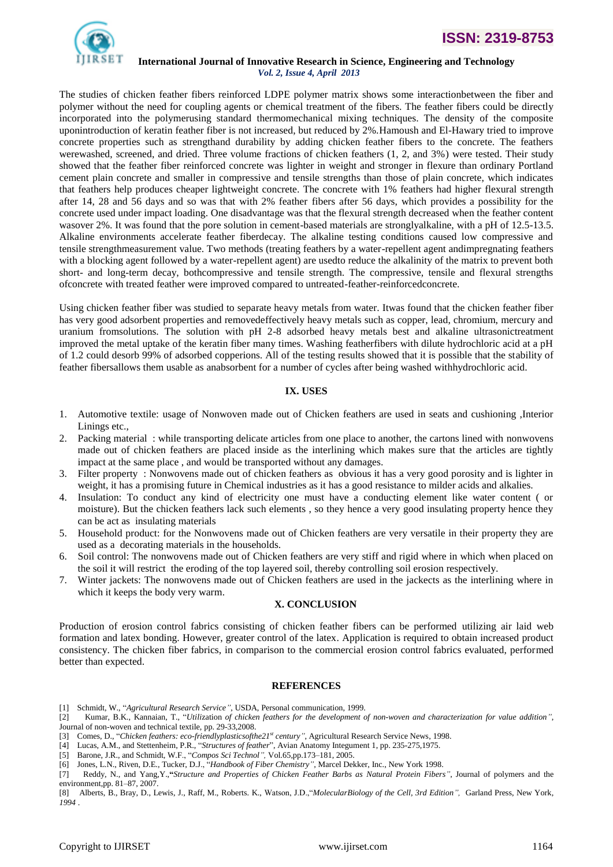

# **ISSN: 2319-8753**

#### **International Journal of Innovative Research in Science, Engineering and Technology** *Vol. 2, Issue 4, April 2013*

The studies of chicken feather fibers reinforced LDPE polymer matrix shows some interactionbetween the fiber and polymer without the need for coupling agents or chemical treatment of the fibers. The feather fibers could be directly incorporated into the polymerusing standard thermomechanical mixing techniques. The density of the composite uponintroduction of keratin feather fiber is not increased, but reduced by 2%.Hamoush and El-Hawary tried to improve concrete properties such as strengthand durability by adding chicken feather fibers to the concrete. The feathers werewashed, screened, and dried. Three volume fractions of chicken feathers (1, 2, and 3%) were tested. Their study showed that the feather fiber reinforced concrete was lighter in weight and stronger in flexure than ordinary Portland cement plain concrete and smaller in compressive and tensile strengths than those of plain concrete, which indicates that feathers help produces cheaper lightweight concrete. The concrete with 1% feathers had higher flexural strength after 14, 28 and 56 days and so was that with 2% feather fibers after 56 days, which provides a possibility for the concrete used under impact loading. One disadvantage was that the flexural strength decreased when the feather content wasover 2%. It was found that the pore solution in cement-based materials are stronglyalkaline, with a pH of 12.5-13.5. Alkaline environments accelerate feather fiberdecay. The alkaline testing conditions caused low compressive and tensile strengthmeasurement value. Two methods (treating feathers by a water-repellent agent andimpregnating feathers with a blocking agent followed by a water-repellent agent) are usedto reduce the alkalinity of the matrix to prevent both short- and long-term decay, bothcompressive and tensile strength. The compressive, tensile and flexural strengths ofconcrete with treated feather were improved compared to untreated-feather-reinforcedconcrete.

Using chicken feather fiber was studied to separate heavy metals from water. Itwas found that the chicken feather fiber has very good adsorbent properties and removedeffectively heavy metals such as copper, lead, chromium, mercury and uranium fromsolutions. The solution with pH 2-8 adsorbed heavy metals best and alkaline ultrasonictreatment improved the metal uptake of the keratin fiber many times. Washing featherfibers with dilute hydrochloric acid at a pH of 1.2 could desorb 99% of adsorbed copperions. All of the testing results showed that it is possible that the stability of feather fibersallows them usable as anabsorbent for a number of cycles after being washed withhydrochloric acid.

# **IX. USES**

- 1. Automotive textile: usage of Nonwoven made out of Chicken feathers are used in seats and cushioning ,Interior Linings etc.,
- 2. Packing material : while transporting delicate articles from one place to another, the cartons lined with nonwovens made out of chicken feathers are placed inside as the interlining which makes sure that the articles are tightly impact at the same place , and would be transported without any damages.
- 3. Filter property : Nonwovens made out of chicken feathers as obvious it has a very good porosity and is lighter in weight, it has a promising future in Chemical industries as it has a good resistance to milder acids and alkalies.
- 4. Insulation: To conduct any kind of electricity one must have a conducting element like water content ( or moisture). But the chicken feathers lack such elements , so they hence a very good insulating property hence they can be act as insulating materials
- 5. Household product: for the Nonwovens made out of Chicken feathers are very versatile in their property they are used as a decorating materials in the households.
- 6. Soil control: The nonwovens made out of Chicken feathers are very stiff and rigid where in which when placed on the soil it will restrict the eroding of the top layered soil, thereby controlling soil erosion respectively.
- 7. Winter jackets: The nonwovens made out of Chicken feathers are used in the jackects as the interlining where in which it keeps the body very warm.

# **X. CONCLUSION**

Production of erosion control fabrics consisting of chicken feather fibers can be performed utilizing air laid web formation and latex bonding. However, greater control of the latex. Application is required to obtain increased product consistency. The chicken fiber fabrics, in comparison to the commercial erosion control fabrics evaluated, performed better than expected.

#### **REFERENCES**

- [1] Schmidt, W., "*Agricultural Research Service"*, USDA, Personal communication, 1999.
- [2] Kumar, B.K., Kannaian, T., "*Utili*zation *of chicken feathers for the development of non-woven and characterization for value addition"*, Journal of non-woven and technical textile, pp. 29-33,2008.
- [3] Comes, D., "*Chicken feathers: eco-friendlyplasticsofthe21st century"*, Agricultural Research Service News, 1998.
- [4] Lucas, A.M., and Stettenheim, P.R., "*Structures of feather*", Avian Anatomy Integument 1, pp. 235-275,1975.
- [5] Barone, J.R., and Schmidt, W.F., "*Compos Sci Technol",* Vol.65,pp.173–181, 2005.
- [6] Jones, L.N., Riven, D.E., Tucker, D.J., "*Handbook of Fiber Chemistry",* Marcel Dekker, Inc., New York 1998.
- [7] Reddy, N., and Yang,Y.,**"***Structure and Properties of Chicken Feather Barbs as Natural Protein Fibers"*, Journal of polymers and the environment,pp. 81–87, 2007.
- [8] Alberts, B., Bray, D., Lewis, J., Raff, M., Roberts. K., Watson, J.D.,"*MolecularBiology of the Cell, 3rd Edition",* Garland Press, New York, *1994* .